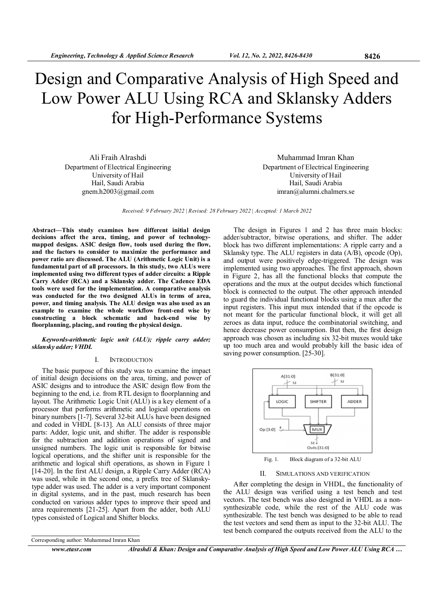# Design and Comparative Analysis of High Speed and Low Power ALU Using RCA and Sklansky Adders for High-Performance Systems

Ali Fraih Alrashdi Department of Electrical Engineering University of Hail Hail, Saudi Arabia gnem.h2003@gmail.com

Muhammad Imran Khan Department of Electrical Engineering University of Hail Hail, Saudi Arabia imran@alumni.chalmers.se

Received: 9 February 2022 | Revised: 28 February 2022 | Accepted: 1 March 2022

Abstract—This study examines how different initial design decisions affect the area, timing, and power of technologymapped designs. ASIC design flow, tools used during the flow, and the factors to consider to maximize the performance and power ratio are discussed. The ALU (Arithmetic Logic Unit) is a fundamental part of all processors. In this study, two ALUs were implemented using two different types of adder circuits: a Ripple Carry Adder (RCA) and a Sklansky adder. The Cadence EDA tools were used for the implementation. A comparative analysis was conducted for the two designed ALUs in terms of area, power, and timing analysis. The ALU design was also used as an example to examine the whole workflow front-end wise by constructing a block schematic and back-end wise by floorplanning, placing, and routing the physical design.

## Keywords-arithmetic logic unit (ALU); ripple carry adder; sklansky adder; VHDL

#### I. INTRODUCTION

The basic purpose of this study was to examine the impact of initial design decisions on the area, timing, and power of ASIC designs and to introduce the ASIC design flow from the beginning to the end, i.e. from RTL design to floorplanning and layout. The Arithmetic Logic Unit (ALU) is a key element of a processor that performs arithmetic and logical operations on binary numbers [1-7]. Several 32-bit ALUs have been designed and coded in VHDL [8-13]. An ALU consists of three major parts: Adder, logic unit, and shifter. The adder is responsible for the subtraction and addition operations of signed and unsigned numbers. The logic unit is responsible for bitwise logical operations, and the shifter unit is responsible for the arithmetic and logical shift operations, as shown in Figure 1 [14-20]. In the first ALU design, a Ripple Carry Adder (RCA) was used, while in the second one, a prefix tree of Sklanskytype adder was used. The adder is a very important component in digital systems, and in the past, much research has been conducted on various adder types to improve their speed and area requirements [21-25]. Apart from the adder, both ALU types consisted of Logical and Shifter blocks.

Corresponding author: Muhammad Imran Khan

www.etasr.com Alrashdi & Khan: Design and Comparative Analysis of High Speed and Low Power ALU Using RCA ...

The design in Figures 1 and 2 has three main blocks: adder/subtractor, bitwise operations, and shifter. The adder block has two different implementations: A ripple carry and a Sklansky type. The ALU registers in data (A/B), opcode (Op), and output were positively edge-triggered. The design was implemented using two approaches. The first approach, shown in Figure 2, has all the functional blocks that compute the operations and the mux at the output decides which functional block is connected to the output. The other approach intended to guard the individual functional blocks using a mux after the input registers. This input mux intended that if the opcode is not meant for the particular functional block, it will get all zeroes as data input, reduce the combinatorial switching, and hence decrease power consumption. But then, the first design approach was chosen as including six 32-bit muxes would take up too much area and would probably kill the basic idea of saving power consumption. [25-30].



Fig. 1. Block diagram of a 32-bit ALU

# II. SIMULATIONS AND VERIFICATION

After completing the design in VHDL, the functionality of the ALU design was verified using a test bench and test vectors. The test bench was also designed in VHDL as a nonsynthesizable code, while the rest of the ALU code was synthesizable. The test bench was designed to be able to read the test vectors and send them as input to the 32-bit ALU. The test bench compared the outputs received from the ALU to the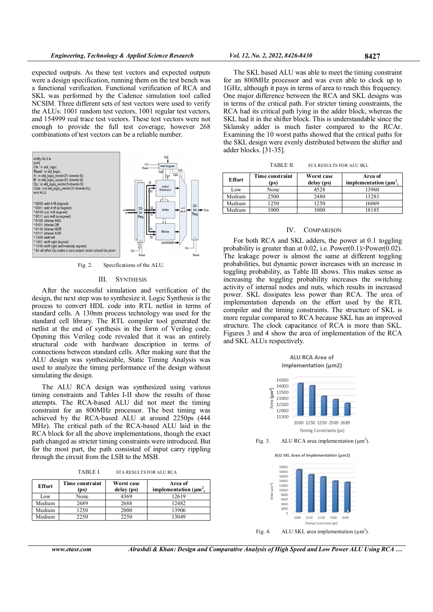expected outputs. As these test vectors and expected outputs were a design specification, running them on the test bench was a functional verification. Functional verification of RCA and SKL was performed by the Cadence simulation tool called NCSIM. Three different sets of test vectors were used to verify the ALUs: 1001 random test vectors, 1001 regular test vectors, and 154999 real trace test vectors. These test vectors were not enough to provide the full test coverage, however 268 combinations of test vectors can be a reliable number.



Fig. 2. Specifications of the ALU.

#### III. SYNTHESIS

After the successful simulation and verification of the design, the next step was to synthesize it. Logic Synthesis is the process to convert HDL code into RTL netlist in terms of standard cells. A 130nm process technology was used for the standard cell library. The RTL compiler tool generated the netlist at the end of synthesis in the form of Verilog code. Opening this Verilog code revealed that it was an entirely structural code with hardware description in terms of connections between standard cells. After making sure that the ALU design was synthesizable, Static Timing Analysis was used to analyze the timing performance of the design without simulating the design.

The ALU RCA design was synthesized using various timing constraints and Tables I-II show the results of those attempts. The RCA-based ALU did not meet the timing constraint for an 800MHz processor. The best timing was achieved by the RCA-based ALU at around 2250ps (444 MHz). The critical path of the RCA-based ALU laid in the RCA block for all the above implementations, though the exact path changed as stricter timing constraints were introduced. But for the most part, the path consisted of input carry rippling through the circuit from the LSB to the MSB.

TABLE I. STA RESULTS FOR ALU RCA

| <b>Effort</b> | Time constraint<br>(ps) | Worst case<br>delay (ps) | Area of<br>implementation $(\mu m^2)$ |
|---------------|-------------------------|--------------------------|---------------------------------------|
| Low           | None                    | 4369                     | 12619                                 |
| Medium        | 2689                    | 2688                     | 12482                                 |
| Medium        | 1250                    | 2000                     | 13906                                 |
| Medium        | 2250                    | 2250                     | 13049                                 |

The SKL based ALU was able to meet the timing constraint for an 800MHz processor and was even able to clock up to 1GHz, although it pays in terms of area to reach this frequency. One major difference between the RCA and SKL designs was in terms of the critical path. For stricter timing constraints, the RCA had its critical path lying in the adder block, whereas the SKL had it in the shifter block. This is understandable since the Sklansky adder is much faster compared to the RCAr. Examining the 10 worst paths showed that the critical paths for the SKL design were evenly distributed between the shifter and adder blocks. [31-35].

| <b>Effort</b> | Time constraint<br>(ps) | Worst case<br>delay (ps) | Area of<br>implementation $(\mu m^2)$ |
|---------------|-------------------------|--------------------------|---------------------------------------|
| Low           | None                    | 4528                     | 13960                                 |
| Medium        | 2500                    | 2480                     | 13283                                 |
| Medium        | 1250                    | 1250                     | 16069                                 |
| Medium        | 1000                    | 1000                     | 18185                                 |

#### IV. COMPARISON

For both RCA and SKL adders, the power at 0.1 toggling probability is greater than at 0.02, i.e.  $Power(0.1)$ Power(0.02). The leakage power is almost the same at different toggling probabilities, but dynamic power increases with an increase in toggling probability, as Table III shows. This makes sense as increasing the toggling probability increases the switching activity of internal nodes and nuts, which results in increased power. SKL dissipates less power than RCA. The area of implementation depends on the effort used by the RTL compiler and the timing constraints. The structure of SKL is more regular compared to RCA because SKL has an improved structure. The clock capacitance of RCA is more than SKL. Figures 3 and 4 show the area of implementation of the RCA and SKL ALUs respectively.







www.etasr.com Alrashdi & Khan: Design and Comparative Analysis of High Speed and Low Power ALU Using RCA ...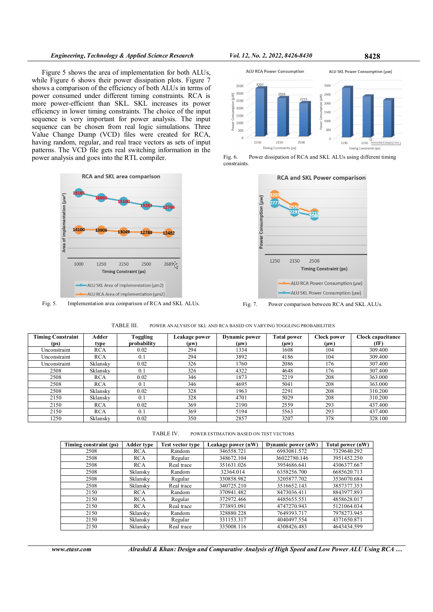# Engineering, Technology & Applied Science Research Vol. 12, No. 2, 2022, 8426-8430 8428

Figure 5 shows the area of implementation for both ALUs, while Figure 6 shows their power dissipation plots. Figure 7 shows a comparison of the efficiency of both ALUs in terms of power consumed under different timing constraints. RCA is more power-efficient than SKL. SKL increases its power efficiency in lower timing constraints. The choice of the input sequence is very important for power analysis. The input sequence can be chosen from real logic simulations. Three Value Change Dump (VCD) files were created for RCA, having random, regular, and real trace vectors as sets of input patterns. The VCD file gets real switching information in the power analysis and goes into the RTL compiler.



Fig. 5. Implementation area comparison of RCA and SKL ALUs.



Fig. 6. Power dissipation of RCA and SKL ALUs using different timing constraints.



Fig. 7. Power comparison between RCA and SKL ALUs.

TABLE III. POWER ANALYSIS OF SKL AND RCA BASED ON VARYING TOGGLING PROBABILITIES

| <b>Timing Constraint</b><br>(ps) | Adder<br>type | Toggling<br>probability | Leakage power<br>(μw) | <b>Dynamic power</b><br>$(\mu w)$ | <b>Total power</b><br>$(\mu w)$ | Clock power<br>$(\mu w)$ | Clock capacitance<br>(fF) |
|----------------------------------|---------------|-------------------------|-----------------------|-----------------------------------|---------------------------------|--------------------------|---------------------------|
| Unconstraint                     | <b>RCA</b>    | 0.02                    | 294                   | 1334                              | 1608                            | 104                      | 309.400                   |
| Unconstraint                     | <b>RCA</b>    | 0.1                     | 294                   | 3892                              | 4186                            | 104                      | 309.400                   |
| Unconstraint                     | Sklansky      | 0.02                    | 326                   | 1760                              | 2086                            | 176                      | 307.400                   |
| 2508                             | Sklansky      | 0.1                     | 326                   | 4322                              | 4648                            | 176                      | 307.400                   |
| 2508                             | <b>RCA</b>    | 0.02                    | 346                   | 1873                              | 2219                            | 208                      | 363.000                   |
| 2508                             | <b>RCA</b>    | 0.1                     | 346                   | 4695                              | 5041                            | 208                      | 363.000                   |
| 2508                             | Sklansky      | 0.02                    | 328                   | 1963                              | 2291                            | 208                      | 310.200                   |
| 2150                             | Sklansky      | 0.1                     | 328                   | 4701                              | 5029                            | 208                      | 310.200                   |
| 2150                             | <b>RCA</b>    | 0.02                    | 369                   | 2190                              | 2559                            | 293                      | 437.400                   |
| 2150                             | <b>RCA</b>    | 0.1                     | 369                   | 5194                              | 5563                            | 293                      | 437.400                   |
| 1250                             | Sklansky      | 0.02                    | 350                   | 2857                              | 3207                            | 378                      | 328.100                   |

TABLE IV. POWER ESTIMATION BASED ON TEST VECTORS

| Timing constraint (ps) | <b>Adder type</b> | Test vector type | Leakage power (nW) | Dynamic power (nW) | Total power (nW) |
|------------------------|-------------------|------------------|--------------------|--------------------|------------------|
| 2508                   | <b>RCA</b>        | Random           | 346558.721         | 6983081.572        | 7329640.292      |
| 2508                   | <b>RCA</b>        | Regular          | 348672.104         | 36022780.146       | 3951452.250      |
| 2508                   | <b>RCA</b>        | Real trace       | 351631.026         | 3954686.641        | 4306377.667      |
| 2508                   | Sklansky          | Random           | 32364.014          | 6358256.700        | 6685620.713      |
| 2508                   | Sklansky          | Regular          | 330858.982         | 3205877.702        | 3536070.684      |
| 2508                   | Sklansky          | Real trace       | 340725.210         | 3516652.143        | 3857377.353      |
| 2150                   | <b>RCA</b>        | Random           | 370941.482         | 8473036.411        | 8843977.893      |
| 2150                   | <b>RCA</b>        | Regular          | 372972.466         | 4485655.551        | 4858628.017      |
| 2150                   | <b>RCA</b>        | Real trace       | 373893.091         | 4747270.943        | 5121064.034      |
| 2150                   | Sklansky          | Random           | 328880.228         | 7649393.717        | 7978273.945      |
| 2150                   | Sklansky          | Regular          | 331153.317         | 4040497.554        | 4371650.871      |
| 2150                   | Sklansky          | Real trace       | 335008.116         | 4308426.483        | 4643434.599      |

www.etasr.com Alrashdi & Khan: Design and Comparative Analysis of High Speed and Low Power ALU Using RCA ...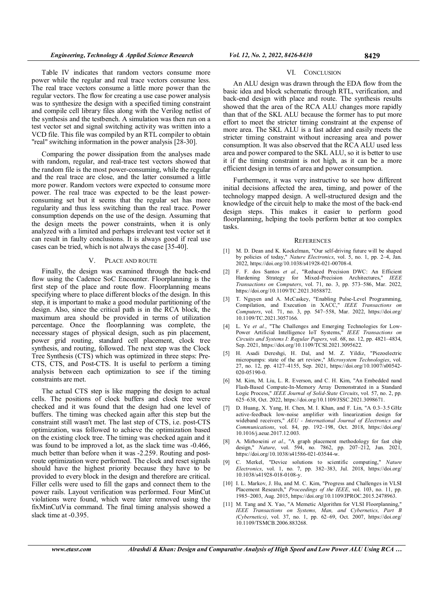Table IV indicates that random vectors consume more power while the regular and real trace vectors consume less. The real trace vectors consume a little more power than the regular vectors. The flow for creating a use case power analysis was to synthesize the design with a specified timing constraint and compile cell library files along with the Verilog netlist of the synthesis and the testbench. A simulation was then run on a test vector set and signal switching activity was written into a VCD file. This file was compiled by an RTL compiler to obtain "real" switching information in the power analysis [28-30].

Comparing the power dissipation from the analyses made with random, regular, and real-trace test vectors showed that the random file is the most power-consuming, while the regular and the real trace are close, and the latter consumed a little more power. Random vectors were expected to consume more power. The real trace was expected to be the least powerconsuming set but it seems that the regular set has more regularity and thus less switching than the real trace. Power consumption depends on the use of the design. Assuming that the design meets the power constraints, when it is only analyzed with a limited and perhaps irrelevant test vector set it can result in faulty conclusions. It is always good if real use cases can be tried, which is not always the case [35-40].

# V. PLACE AND ROUTE

Finally, the design was examined through the back-end flow using the Cadence SoC Encounter. Floorplanning is the first step of the place and route flow. Floorplanning means specifying where to place different blocks of the design. In this step, it is important to make a good modular partitioning of the design. Also, since the critical path is in the RCA block, the maximum area should be provided in terms of utilization percentage. Once the floorplanning was complete, the necessary stages of physical design, such as pin placement, power grid routing, standard cell placement, clock tree synthesis, and routing, followed. The next step was the Clock Tree Synthesis (CTS) which was optimized in three steps: Pre-CTS, CTS, and Post-CTS. It is useful to perform a timing analysis between each optimization to see if the timing constraints are met.

The actual CTS step is like mapping the design to actual cells. The positions of clock buffers and clock tree were checked and it was found that the design had one level of buffers. The timing was checked again after this step but the constraint still wasn't met. The last step of CTS, i.e. post-CTS optimization, was followed to achieve the optimization based on the existing clock tree. The timing was checked again and it was found to be improved a lot, as the slack time was -0.466, much better than before when it was -2.259. Routing and postroute optimization were performed. The clock and reset signals should have the highest priority because they have to be provided to every block in the design and therefore are critical. Filler cells were used to fill the gaps and connect them to the power rails. Layout verification was performed. Four MinCut violations were found, which were later removed using the fixMinCutVia command. The final timing analysis showed a slack time at -0.395.

## VI. CONCLUSION

An ALU design was drawn through the EDA flow from the basic idea and block schematic through RTL, verification, and back-end design with place and route. The synthesis results showed that the area of the RCA ALU changes more rapidly than that of the SKL ALU because the former has to put more effort to meet the stricter timing constraint at the expense of more area. The SKL ALU is a fast adder and easily meets the stricter timing constraint without increasing area and power consumption. It was also observed that the RCA ALU used less area and power compared to the SKL ALU, so it is better to use it if the timing constraint is not high, as it can be a more efficient design in terms of area and power consumption.

Furthermore, it was very instructive to see how different initial decisions affected the area, timing, and power of the technology mapped design. A well-structured design and the knowledge of the circuit help to make the most of the back-end design steps. This makes it easier to perform good floorplanning, helping the tools perform better at too complex tasks.

#### **REFERENCES**

- [1] M. D. Dean and K. Kockelman, "Our self-driving future will be shaped by policies of today," Nature Electronics, vol. 5, no. 1, pp. 2–4, Jan. 2022, https://doi.org/10.1038/s41928-021-00708-4.
- [2] F. F. dos Santos et al., "Reduced Precision DWC: An Efficient Hardening Strategy for Mixed-Precision Architectures," IEEE Transactions on Computers, vol. 71, no. 3, pp. 573–586, Mar. 2022, https://doi.org/10.1109/TC.2021.3058872.
- [3] T. Nguyen and A. McCaskey, "Enabling Pulse-Level Programming, Compilation, and Execution in XACC," IEEE Transactions on Computers, vol. 71, no. 3, pp. 547–558, Mar. 2022, https://doi.org/ 10.1109/TC.2021.3057166.
- [4] L. Ye et al., "The Challenges and Emerging Technologies for Low-Power Artificial Intelligence IoT Systems," IEEE Transactions on Circuits and Systems I: Regular Papers, vol. 68, no. 12, pp. 4821–4834, Sep. 2021, https://doi.org/10.1109/TCSI.2021.3095622.
- [5] H. Asadi Dereshgi, H. Dal, and M. Z. Yildiz, "Piezoelectric micropumps: state of the art review," Microsystem Technologies, vol. 27, no. 12, pp. 4127–4155, Sep. 2021, https://doi.org/10.1007/s00542- 020-05190-0.
- [6] M. Kim, M. Liu, L. R. Everson, and C. H. Kim, "An Embedded nand Flash-Based Compute-In-Memory Array Demonstrated in a Standard Logic Process," IEEE Journal of Solid-State Circuits, vol. 57, no. 2, pp. 625–638, Oct. 2022, https://doi.org/10.1109/JSSC.2021.3098671.
- [7] D. Huang, X. Yang, H. Chen, M. I. Khan, and F. Lin, "A 0.3–3.5 GHz active-feedback low-noise amplifier with linearization design for wideband receivers," AEU - International Journal of Electronics and Communications, vol. 84, pp. 192–198, Oct. 2018, https://doi.org/ 10.1016/j.aeue.2017.12.003.
- [8] A. Mirhoseini et al., "A graph placement methodology for fast chip design," Nature, vol. 594, no. 7862, pp. 207–212, Jun. 2021, https://doi.org/10.1038/s41586-021-03544-w.
- [9] C. Merkel, "Device solutions to scientific computing," Nature Electronics, vol. 1, no. 7, pp. 382–383, Jul. 2018, https://doi.org/ 10.1038/s41928-018-0108-y.
- [10] I. L. Markov, J. Hu, and M. C. Kim, "Progress and Challenges in VLSI Placement Research," Proceedings of the IEEE, vol. 103, no. 11, pp. 1985–2003, Aug. 2015, https://doi.org/10.1109/JPROC.2015.2478963.
- [11] M. Tang and X. Yao, "A Memetic Algorithm for VLSI Floorplanning," IEEE Transactions on Systems, Man, and Cybernetics, Part B (Cybernetics), vol. 37, no. 1, pp. 62–69, Oct. 2007, https://doi.org/ 10.1109/TSMCB.2006.883268.